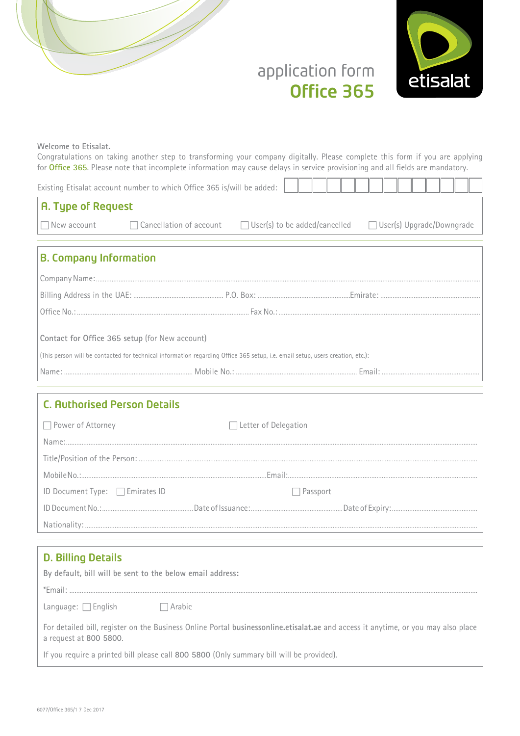



# application form Office 365

**Welcome** to Etisalat.

Congratulations on taking another step to transforming your company digitally. Please complete this form if you are applying for Office 365. Please note that incomplete information may cause delays in service provisioning and all fields are mandatory.

|                               | Existing Etisalat account number to which Office 365 is/will be added:                                                        |  |  |  |  |  |
|-------------------------------|-------------------------------------------------------------------------------------------------------------------------------|--|--|--|--|--|
| <b>A. Type of Request</b>     |                                                                                                                               |  |  |  |  |  |
|                               | $\Box$ New account $\Box$ Cancellation of account $\Box$ User(s) to be added/cancelled $\Box$ User(s) Upgrade/Downgrade       |  |  |  |  |  |
| <b>B. Company Information</b> |                                                                                                                               |  |  |  |  |  |
|                               |                                                                                                                               |  |  |  |  |  |
|                               |                                                                                                                               |  |  |  |  |  |
|                               |                                                                                                                               |  |  |  |  |  |
|                               | Contact for Office 365 setup (for New account)                                                                                |  |  |  |  |  |
|                               | (This person will be contacted for technical information regarding Office 365 setup, i.e. email setup, users creation, etc.): |  |  |  |  |  |
|                               |                                                                                                                               |  |  |  |  |  |

# **C. Authorised Person Details**  $\Box$  Power of Attorney  $\Box$  Detter of Delegation :Name :Person the of Position/Title :Email .:No Mobile  $ID$  Document Type:  $\Box$  Emirates ID  $\Box$  Passport :Expiry of Date :Issuance of Date .:No Document ID :Nationality

## D. Billing Details

| By default, bill will be sent to the below email address:                                                                                                   |  |  |  |  |  |  |
|-------------------------------------------------------------------------------------------------------------------------------------------------------------|--|--|--|--|--|--|
| *Email:                                                                                                                                                     |  |  |  |  |  |  |
| Language: $\Box$ English<br>$\Box$ Arabic                                                                                                                   |  |  |  |  |  |  |
| For detailed bill, register on the Business Online Portal businessonline.etisalat.ae and access it anytime, or you may also place<br>a request at 800 5800. |  |  |  |  |  |  |
| If you require a printed bill please call 800 5800 (Only summary bill will be provided).                                                                    |  |  |  |  |  |  |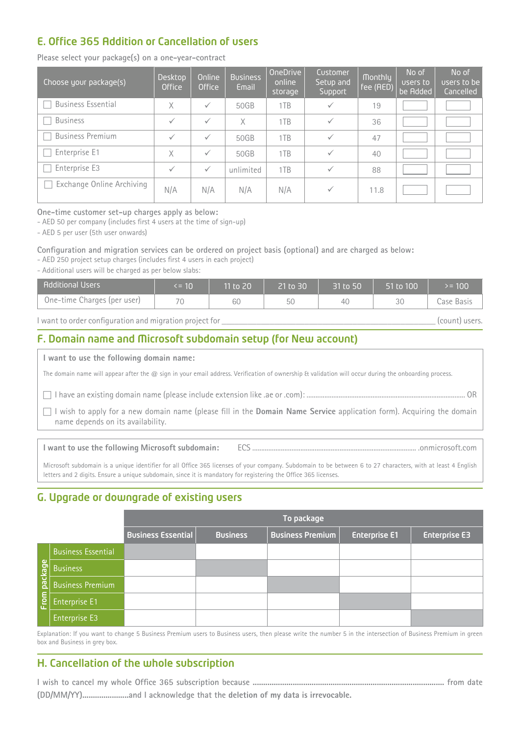# E. Office 365 Addition or Cancellation of users

Please select your package(s) on a one-year-contract

| Choose your package(s)    | Desktop<br><b>Office</b> | Online<br><b>Office</b> | <b>Business</b><br>Email | OneDrive<br>online<br>storage | Customer<br>Setup and<br>Support | <b>Monthly</b><br>fee (AED) | No of<br>users to<br>be Added | No of<br>users to be<br>Cancelled |
|---------------------------|--------------------------|-------------------------|--------------------------|-------------------------------|----------------------------------|-----------------------------|-------------------------------|-----------------------------------|
| <b>Business Essential</b> | X                        | $\checkmark$            | 50GB                     | 1TB                           | $\checkmark$                     | 19                          |                               |                                   |
| <b>Business</b>           | ✓                        | $\checkmark$            | X                        | 1TB                           | $\checkmark$                     | 36                          |                               |                                   |
| <b>Business Premium</b>   | ✓                        | $\checkmark$            | 50GB                     | 1TB                           | $\checkmark$                     | 47                          |                               |                                   |
| Enterprise E1             | X                        | $\checkmark$            | 50GB                     | 1TB                           | $\checkmark$                     | 40                          |                               |                                   |
| Enterprise E3             | ✓                        | $\checkmark$            | unlimited                | 1TB                           | $\checkmark$                     | 88                          |                               |                                   |
| Exchange Online Archiving | N/A                      | N/A                     | N/A                      | N/A                           | $\checkmark$                     | 11.8                        |                               |                                   |

One-time customer set-up charges apply as below:

- AED 50 per company (includes first 4 users at the time of sign-up)

- AED 5 per user (5th user onwards)

Configuration and migration services can be ordered on project basis (optional) and are charged as below:

- AED 250 project setup charges (includes first 4 users in each project)

- Additional users will be charged as per below slabs:

| <b>Additional Users</b>     | $\le$ = 10 $^{\circ}$ | 11 to 20 | 21 to 30 | 31 to 50 | 51 to 100 | $= 100$    |
|-----------------------------|-----------------------|----------|----------|----------|-----------|------------|
| One-time Charges (per user) | 70                    | 60       | 50       | 40       | 30        | Case Basis |

 $\blacksquare$  l want to order configuration and migration project for  $\blacksquare$ 

## F. Domain name and Microsoft subdomain setup (for New account)

I want to use the following domain name:

The domain name will appear after the  $@$  sign in your email address. Verification of ownership & validation will occur during the onboarding process.

OR ......................................................................................... :)com. or ae. like extension include please (name domain existing an have I c

 $\Box$  I wish to apply for a new domain name (please fill in the **Domain Name Service** application form). Acquiring the domain name depends on its availability.

com.onmicrosoft. ............................................................................................ ECS **:subdomain Microsoft following the use to want I**

Microsoft subdomain is a unique identifier for all Office 365 licenses of your company. Subdomain to be between 6 to 27 characters, with at least 4 English letters and 2 digits. Ensure a unique subdomain, since it is mandatory for registering the Office 365 licenses.

# G. Upgrade or downgrade of existing users

|           |                           |                           |                 | To package              |                      |                      |
|-----------|---------------------------|---------------------------|-----------------|-------------------------|----------------------|----------------------|
|           |                           | <b>Business Essential</b> | <b>Business</b> | <b>Business Premium</b> | <b>Enterprise E1</b> | <b>Enterprise E3</b> |
|           | <b>Business Essential</b> |                           |                 |                         |                      |                      |
| package   | <b>Business</b>           |                           |                 |                         |                      |                      |
|           | <b>Business Premium</b>   |                           |                 |                         |                      |                      |
| E<br>Elem | Enterprise E1             |                           |                 |                         |                      |                      |
|           | Enterprise E3             |                           |                 |                         |                      |                      |

Explanation: If you want to change 5 Business Premium users to Business users, then please write the number 5 in the intersection of Business Premium in green box and Business in grey box.

## H. Cancellation of the whole subscription

 **date from ........................................................................................... because subscription 365 Office whole my cancel to wish I .irrevocable is data my of deletion the that acknowledge I and......................)YY/MM/DD(**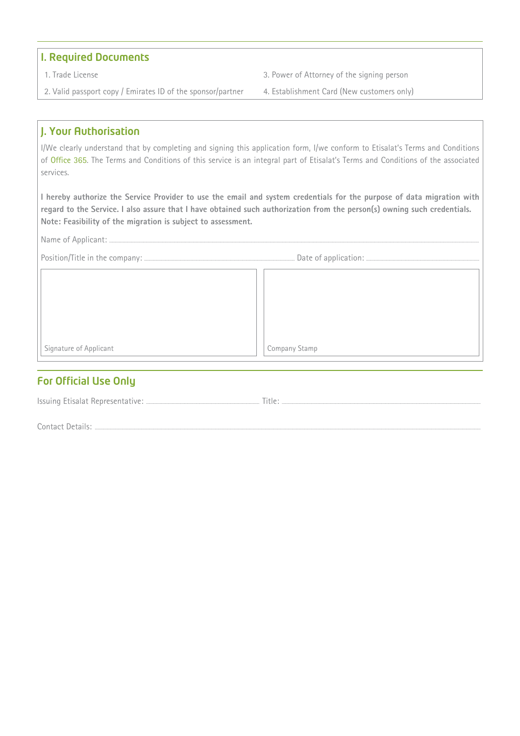## **I. Required Documents**

- 
- 2. Valid passport copy / Emirates ID of the sponsor/partner 4. Establishment Card (New customers only)
- 1. Trade License **State of Attorney of the signing person** 3. Power of Attorney of the signing person
	-

## J. Your Authorisation

I/We clearly understand that by completing and signing this application form, I/we conform to Etisalat's Terms and Conditions of Office 365. The Terms and Conditions of this service is an integral part of Etisalat's Terms and Conditions of the associated .services

I hereby authorize the Service Provider to use the email and system credentials for the purpose of data migration with regard to the Service. I also assure that I have obtained such authorization from the person(s) owning such credentials. Note: Feasibility of the migration is subject to assessment.

Name of Applicant: ..

| Signature of Applicant | Company Stamp |
|------------------------|---------------|

## **For Official Use Only**

|--|

Contact Details: ...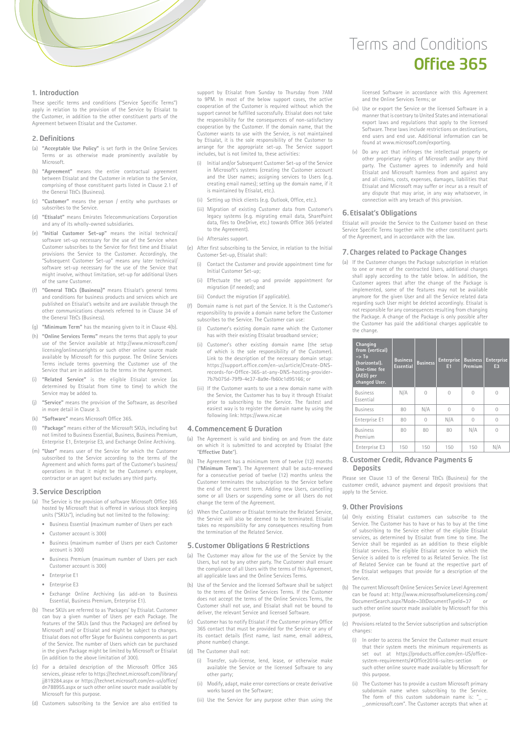

### 1. Introduction

These specific terms and conditions ("Service Specific Terms") apply in relation to the provision of the Service by Etisalat to the Customer, in addition to the other constituent parts of the Agreement hetween Etisalat and the Customer

### 2. Definitions

- (a) "Acceptable Use Policy" is set forth in the Online Services Terms or as otherwise made prominently available by .Microsoft
- (b) "Agreement" means the entire contractual agreement between Etisalat and the Customer in relation to the Service comprising of those constituent parts listed in Clause 2.1 of the General T&Cs (Business).
- (c) "Customer" means the person / entity who purchases or subscribes to the Service
- (d) "Etisalat" means Emirates Telecommunications Corporation and any of its wholly-owned subsidiaries.
- (e) "Initial Customer Set-up" means the initial technical/ software set-up necessary for the use of the Service when Customer subscribes to the Service for first time and Etisalat provisions the Service to the Customer. Accordingly, the .<br>"Subsequent Customer Set-up" means any later technical/ software set-up necessary for the use of the Service that might involve, without limitation, set-up for additional Users of the same Customer.
- (f) "General T&Cs (Business)" means Etisalat's general terms and conditions for business products and services which are published on Etisalat's website and are available through the other communications channels referred to in Clause 34 of the General T&Cs (Business).
- (q) "Minimum Term" has the meaning given to it in Clause 4(b).
- (h) "Online Services Terms" means the terms that apply to your use of the Service available at http://www.microsoft.com/ licensing/onlineuserights or such other online source made available by Microsoft for this purpose. The Online Services Terms include terms governing the Customer use of the Service that are in addition to the terms in the Agreement.
- (i) "Related Service" is the eligible Etisalat service (as determined by Etisalat from time to time) to which the Service may be added to.
- (i) "Service" means the provision of the Software as described in more detail in Clause 3.
- 365. Office Microsoft means**" Software**) **"**k(
- $\Box$  **"Package"** means either of the Microsoft SKUs, including but not limited to Business Essential, Business, Business Premium Enterprise E1, Enterprise E3, and Exchange Online Archiving.
- (m) "User" means user of the Service for which the Customer subscribed to the Service according to the terms of the Agreement and which forms part of the Customer's business/ operations in that it might be the Customer's employee, contractor or an agent but excludes any third party.

#### **B. Service Description**

- (a) The Service is the provision of software Microsoft Office 365 hosted by Microsoft that is offered in various stock keeping units ("SKUs"), including but not limited to the following:
	- Business Essential (maximum number of Users per each
	- $\epsilon$  Customer account  $\epsilon$  300)
	- Business (maximum number of Users per each Customer  $account$  is  $300$
	- Business Premium (maximum number of Users per each Customer account is 300)
	- Enterprise E1
	- Enterprise<sub>E3</sub>
	- Exchange Online Archiving (as add-on to Business Essential, Business Premium, Enterprise E1).
- (b) These SKUs are referred to as 'Packages' by Etisalat. Customer can buy a given number of Users per each Package. The bending a given handled are come per count remains the features of the SKUs (and thus the Packages) are defined by Microsoft and/ or Etisalat and might be subject to changes Etisalat does not offer Skype for Business components as part of the Service. The number of Users which can be purchased<br>in the given Package might be limited by Microsoft or Etisalat .(300 of limitation above the to addition in(
- (c) For a detailed description of the Microsoft Office 365 services, please refer to https://technet.microsoft.com/library/ ii819284.aspx or https://technet.microsoft.com/en-us/office/ dn788955.aspx or such other online source made available by Microsoft for this purpose.
- (d) Customers subscribing to the Service are also entitled to

support by Etisalat from Sunday to Thursday from 7AM to 9PM. In most of the below support cases, the active cooperation of the Customer is required without which the take produce the notion of the successfully. Etisalat does not take the responsibility for the consequences of non-satisfactory cooperation by the Customer. If the domain name, that the Customer wants to use with the Service is not maintained by Etisalat, it is the sole responsibility of the Customer to arrange for the appropriate set-up. The Service support includes, but is not limited to, these activities:

- (i) Initial and/or Subsequent Customer Set-up of the Service account Customer Customer Customer the Customer account and the User names; assigning services to Users (e.g. creating email names); setting up the domain name, if it is maintained by Etisalat, etc.).
- (ii) Setting up thick clients (e.g. Outlook, Office, etc.).
- (iii) Migration of existing Customer data from Customer's legacy systems (e.g. migrating email data, SharePoint data, files to OneDrive, etc.) towards Office 365 (related to the Agreement)
- (iv) Aftersales support.
- (e) After first subscribing to the Service, in relation to the Initial Customer Set-up, Etisalat shall
	- (i) Contact the Customer and provide appointment time for Initial Customer Set-up;
	- (ii) Effectuate the set-up and provide appointment for migration (if needed); and
	- (iii) Conduct the migration (if applicable).
- (f) Domain name is not part of the Service. It is the Customer's responsibility to provide a domain name before the Customer subscribes to the Service. The Customer can use:
	- (i) Customer's existing domain name which the Customer has with their existing Etisalat broadband service;
	- (ii) Customer's other existing domain name (the setup of which is the sole responsibility of the Customer). Link to the description of the necessary domain setup: https://support.office.com/en-us/article/Create-DNS-<br>records-for-Office-365-at-any-DNS-hosting-provider-<br>7b7b075d-79f9-4e37-8a9e-fb60c1d95166; or https://support.office.com/en-us/article/Create-DNS-
	- (iii) If the Customer wants to use a new domain name with the Service, the Customer has to buy it through Etisalat prior to subscribing to the Service. The fastest and easiest way is to register the domain name by using the following link: https://www.nic.ae

#### 4. Commencement & Duration

- (a) The Agreement is valid and binding on and from the date on which it is submitted to and accepted by Etisalat (the "Effective Date").
- (b) The Agreement has a minimum term of twelve (12) months ("Minimum Term"). The Agreement shall be auto-renewed for a consecutive period of twelve (12) months unless the Customer terminates the subscription to the Service before the end of the current term. Adding new Users, cancelling some or all Users or suspending some or all Users do not change the term of the Agreement.
- (c) When the Customer or Etisalat terminate the Related Service, the Service will also be deemed to be terminated Etisalat takes no responsibility for any consequences resulting from the termination of the Related Service

#### 5. Customer Obligations & Restrictions

- (a) The Customer may allow for the use of the Service by the ensure shall customer that we have the serve the service by the Users, but not by any other party. The Customer shall ensure the compliance of all Users with the terms of this Agreement, all applicable laws and the Online Services Terms
- (b) Hse of the Service and the licensed Software shall be subject to the terms of the Online Services Terms If the Customer does not accept the terms of the Online Services Terms, the Customer shall not use, and Etisalat shall not be bound to deliver, the relevant Service and licensed Software
- (c) Customer has to notify Etisalat if the Customer primary Office 365 contact that must be provided for the Service or any of its contact details (first name, last name, email address, phone number) change.
- (d) The Customer shall not:
	- (i) Transfer, sub-license, lend, lease, or otherwise make available the Service or the licensed Software to any other party;
	- (ii) Modify, adapt, make error corrections or create derivative works based on the Software:
	- (iii) Use the Service for any purpose other than using the

# Terms and Conditions Office 365

licensed Software in accordance with this Agreement and the Online Services Terms; or

- (iv) Use or export the Service or the licensed Software in a manner that is contrary to United States and international export laws and regulations that apply to the licensed Software. These laws include restrictions on destinations be can information and information and users and end use. Additional information can be found at www.microsoft.com/exporting.
- (v) Do any act that infringes the intellectual property or other proprietary rights of Microsoft and/or any third party. The Customer agrees to indemnify and hold Etisalat and Microsoft harmless from and against any and all claims, costs, expenses, damages, liabilities that Etisalat and Microsoft may suffer or incur as a result of any dispute that may arise, in any way whatsoever, in connection with any breach of this provision.

### 6. Etisalat's Obligations

Etisalat will provide the Service to the Customer based on these Service Specific Terms together with the other constituent parts of the Agreement, and in accordance with the law.

### 7. Charges related to Package Changes

(a) If the Customer changes the Package subscription in relation to one or more of the contracted Users, additional charges shall apply according to the table below. In addition, the<br>Customer agrees that after the change of the Package is implemented, some of the features may not be available anymore for the given User and all the Service related data regarding such User might be deleted accordingly. Etisalat is not responsible for any consequences resulting from changing after rependence on any concept measurements of change of change of change of change is only possible after the Customer has paid the additional charges applicable to the change.

| Changing<br>from (vertical)<br>$\rightarrow$ To<br>(horizontal).<br>One-time fee<br>(AED) per<br>changed User. | <b>Business</b><br><b>Business</b><br><b>Essential</b> |          | <b>Enterprise</b><br>E1 | <b>Business</b><br>Premium | <b>Enterprise</b><br>E <sub>3</sub> |  |
|----------------------------------------------------------------------------------------------------------------|--------------------------------------------------------|----------|-------------------------|----------------------------|-------------------------------------|--|
| <b>Business</b><br>Essential                                                                                   | N/A                                                    | $\cap$   | $\cap$                  | $\bigcap$                  |                                     |  |
| <b>Business</b>                                                                                                | 80                                                     | N/A      | $\cap$                  | $\bigcap$                  |                                     |  |
| Enterprise E1                                                                                                  | 80                                                     | $\cap$   | N/A                     | $\cap$                     |                                     |  |
| <b>Business</b><br>Premium                                                                                     | 80                                                     | 80<br>80 |                         | N/A                        |                                     |  |
| Enterprise E3                                                                                                  | 150                                                    | 150      | 150                     | 150                        | N/A                                 |  |

#### 8. Customer Credit, Advance Pauments & **Deposits**

Please see Clause 13 of the General T&Cs (Business) for the customer credit, advance payment and deposit provisions that annly to the Service

#### **9. Other Provisions**

- (a) Only existing Etisalat customers can subscribe to the Service. The Customer has to have or has to buy at the time Etisalat eligible the of the subscribing to the Service either of the eligible Etisalat services, as determined by Etisalat from time to time. The Service shall be regarded as an addition to these eligible Etisalat services. The eligible Etisalat service to which the<br>Service is added to is referred to as Related Service. The list of Related Service can be found at the respective part of the Etisalat webpages that provide for a description of the .Service
- (b) The current Microsoft Online Services Service Level Agreement can be found at: http://www.microsoftvolumelicensing.com/ DocumentSearch.aspx?Mode=3&DocumentTypeId=37 such other online source made available by Microsoft for this .purpose
- $\epsilon$   $\epsilon$  Provisions related to the Service subscription and subscription changes:
	- (i) In order to access the Service the Customer must ensure that their system meets the minimum requirements as set out at https://products.office.com/en-US/office-<br>system-requirements/#Office2016-suites-section or for Microsoft by an amount of the source of the such as such other online source made available by Microsoft for this purpose.
	- (ii) The Customer has to provide a custom Microsoft primary subdomain name when subscribing to the Service. The form of this custom subdomain name is: at the committee  $\frac{1}{2}$  and  $\frac{1}{2}$  accepts that when at